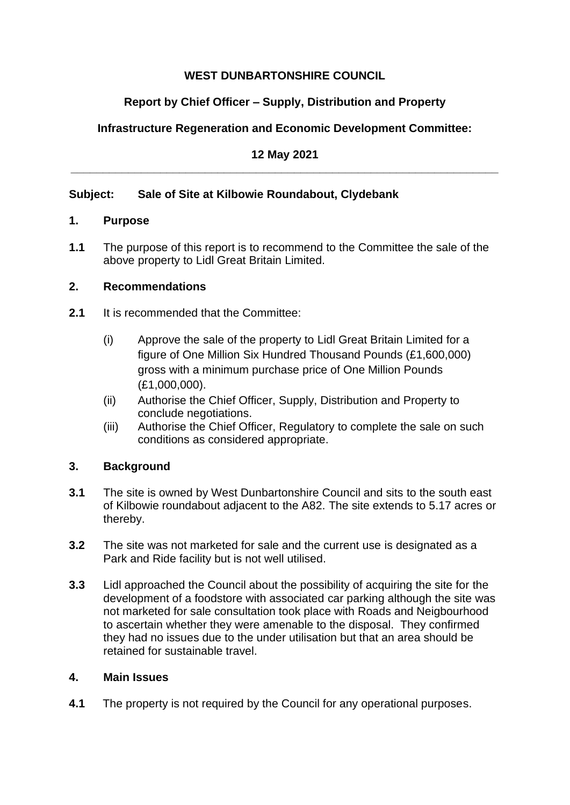## **WEST DUNBARTONSHIRE COUNCIL**

# **Report by Chief Officer – Supply, Distribution and Property**

# **Infrastructure Regeneration and Economic Development Committee:**

#### **12 May 2021 \_\_\_\_\_\_\_\_\_\_\_\_\_\_\_\_\_\_\_\_\_\_\_\_\_\_\_\_\_\_\_\_\_\_\_\_\_\_\_\_\_\_\_\_\_\_\_\_\_\_\_\_\_\_\_\_\_\_\_\_\_\_\_\_\_\_\_**

## **Subject: Sale of Site at Kilbowie Roundabout, Clydebank**

### **1. Purpose**

**1.1** The purpose of this report is to recommend to the Committee the sale of the above property to Lidl Great Britain Limited.

### **2. Recommendations**

- **2.1** It is recommended that the Committee:
	- (i) Approve the sale of the property to Lidl Great Britain Limited for a figure of One Million Six Hundred Thousand Pounds (£1,600,000) gross with a minimum purchase price of One Million Pounds (£1,000,000).
	- (ii) Authorise the Chief Officer, Supply, Distribution and Property to conclude negotiations.
	- (iii) Authorise the Chief Officer, Regulatory to complete the sale on such conditions as considered appropriate.

### **3. Background**

- **3.1** The site is owned by West Dunbartonshire Council and sits to the south east of Kilbowie roundabout adjacent to the A82. The site extends to 5.17 acres or thereby.
- **3.2** The site was not marketed for sale and the current use is designated as a Park and Ride facility but is not well utilised.
- **3.3** Lidl approached the Council about the possibility of acquiring the site for the development of a foodstore with associated car parking although the site was not marketed for sale consultation took place with Roads and Neigbourhood to ascertain whether they were amenable to the disposal. They confirmed they had no issues due to the under utilisation but that an area should be retained for sustainable travel.

#### **4. Main Issues**

**4.1** The property is not required by the Council for any operational purposes.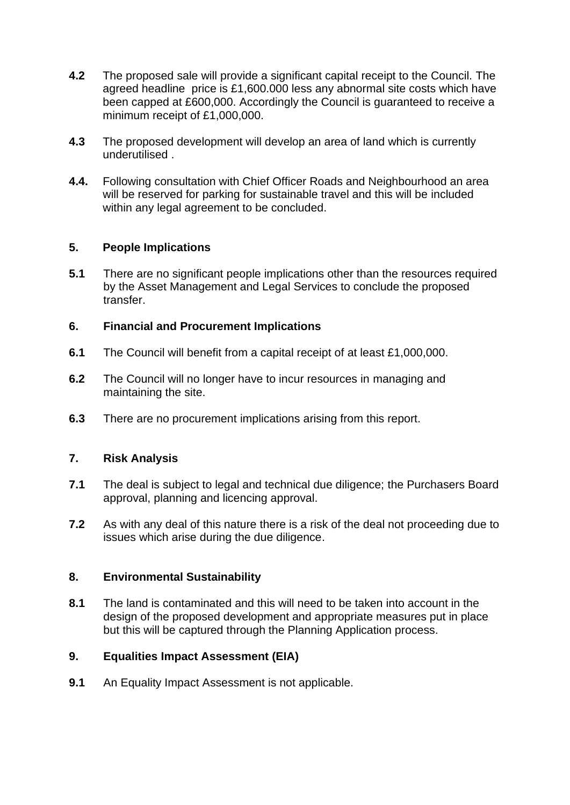- **4.2** The proposed sale will provide a significant capital receipt to the Council. The agreed headline price is £1,600.000 less any abnormal site costs which have been capped at £600,000. Accordingly the Council is guaranteed to receive a minimum receipt of £1,000,000.
- **4.3** The proposed development will develop an area of land which is currently underutilised .
- **4.4.** Following consultation with Chief Officer Roads and Neighbourhood an area will be reserved for parking for sustainable travel and this will be included within any legal agreement to be concluded.

### **5. People Implications**

**5.1** There are no significant people implications other than the resources required by the Asset Management and Legal Services to conclude the proposed transfer.

#### **6. Financial and Procurement Implications**

- **6.1** The Council will benefit from a capital receipt of at least £1,000,000.
- **6.2** The Council will no longer have to incur resources in managing and maintaining the site.
- **6.3** There are no procurement implications arising from this report.

#### **7. Risk Analysis**

- **7.1** The deal is subject to legal and technical due diligence; the Purchasers Board approval, planning and licencing approval.
- **7.2** As with any deal of this nature there is a risk of the deal not proceeding due to issues which arise during the due diligence.

#### **8. Environmental Sustainability**

**8.1** The land is contaminated and this will need to be taken into account in the design of the proposed development and appropriate measures put in place but this will be captured through the Planning Application process.

### **9. Equalities Impact Assessment (EIA)**

**9.1** An Equality Impact Assessment is not applicable.